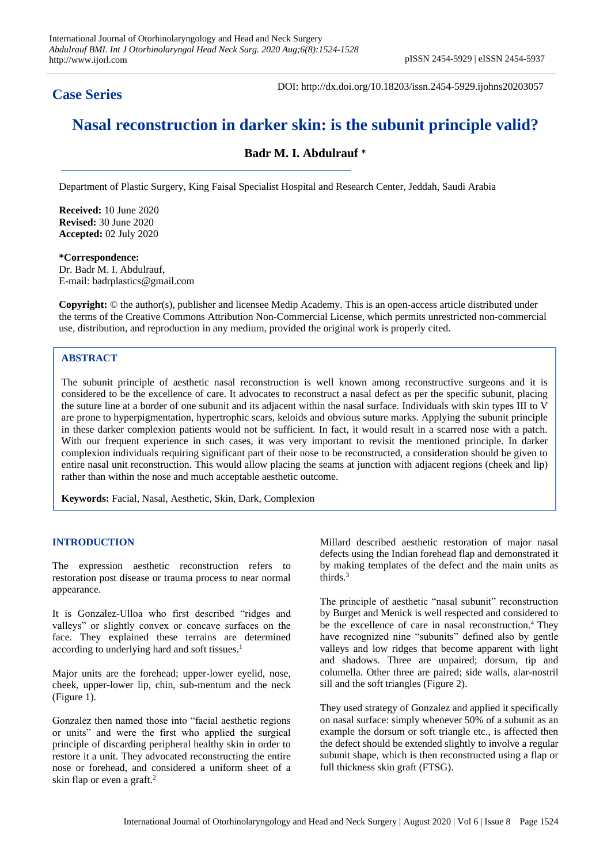# **Case Series**

DOI: http://dx.doi.org/10.18203/issn.2454-5929.ijohns20203057

# **Nasal reconstruction in darker skin: is the subunit principle valid?**

# **Badr M. I. Abdulrauf** \*

Department of Plastic Surgery, King Faisal Specialist Hospital and Research Center, Jeddah, Saudi Arabia

**Received:** 10 June 2020 **Revised:** 30 June 2020 **Accepted:** 02 July 2020

**\*Correspondence:** Dr. Badr M. I. Abdulrauf, E-mail: badrplastics@gmail.com

**Copyright:** © the author(s), publisher and licensee Medip Academy. This is an open-access article distributed under the terms of the Creative Commons Attribution Non-Commercial License, which permits unrestricted non-commercial use, distribution, and reproduction in any medium, provided the original work is properly cited.

# **ABSTRACT**

The subunit principle of aesthetic nasal reconstruction is well known among reconstructive surgeons and it is considered to be the excellence of care. It advocates to reconstruct a nasal defect as per the specific subunit, placing the suture line at a border of one subunit and its adjacent within the nasal surface. Individuals with skin types III to V are prone to hyperpigmentation, hypertrophic scars, keloids and obvious suture marks. Applying the subunit principle in these darker complexion patients would not be sufficient. In fact, it would result in a scarred nose with a patch. With our frequent experience in such cases, it was very important to revisit the mentioned principle. In darker complexion individuals requiring significant part of their nose to be reconstructed, a consideration should be given to entire nasal unit reconstruction. This would allow placing the seams at junction with adjacent regions (cheek and lip) rather than within the nose and much acceptable aesthetic outcome.

**Keywords:** Facial, Nasal, Aesthetic, Skin, Dark, Complexion

## **INTRODUCTION**

The expression aesthetic reconstruction refers to restoration post disease or trauma process to near normal appearance.

It is Gonzalez-Ulloa who first described "ridges and valleys" or slightly convex or concave surfaces on the face. They explained these terrains are determined according to underlying hard and soft tissues.<sup>1</sup>

Major units are the forehead; upper-lower evelid, nose, cheek, upper-lower lip, chin, sub-mentum and the neck (Figure 1).

Gonzalez then named those into "facial aesthetic regions or units" and were the first who applied the surgical principle of discarding peripheral healthy skin in order to restore it a unit. They advocated reconstructing the entire nose or forehead, and considered a uniform sheet of a skin flap or even a graft.<sup>2</sup>

Millard described aesthetic restoration of major nasal defects using the Indian forehead flap and demonstrated it by making templates of the defect and the main units as thirds.<sup>3</sup>

The principle of aesthetic "nasal subunit" reconstruction by Burget and Menick is well respected and considered to be the excellence of care in nasal reconstruction.<sup>4</sup> They have recognized nine "subunits" defined also by gentle valleys and low ridges that become apparent with light and shadows. Three are unpaired; dorsum, tip and columella. Other three are paired; side walls, alar-nostril sill and the soft triangles (Figure 2).

They used strategy of Gonzalez and applied it specifically on nasal surface: simply whenever 50% of a subunit as an example the dorsum or soft triangle etc., is affected then the defect should be extended slightly to involve a regular subunit shape, which is then reconstructed using a flap or full thickness skin graft (FTSG).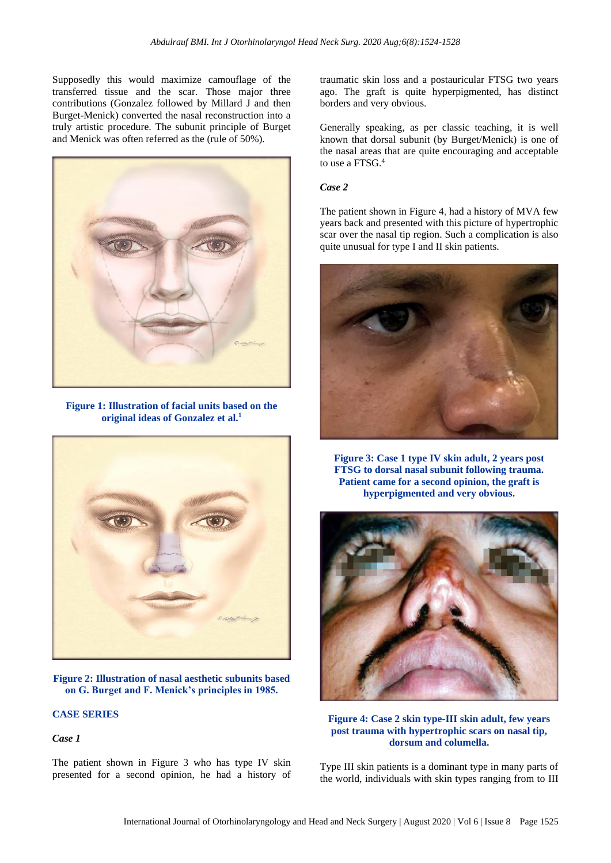Supposedly this would maximize camouflage of the transferred tissue and the scar. Those major three contributions (Gonzalez followed by Millard J and then Burget-Menick) converted the nasal reconstruction into a truly artistic procedure. The subunit principle of Burget and Menick was often referred as the (rule of 50%).



**Figure 1: Illustration of facial units based on the original ideas of Gonzalez et al. 1**



**Figure 2: Illustration of nasal aesthetic subunits based on G. Burget and F. Menick's principles in 1985.**

# **CASE SERIES**

*Case 1*

The patient shown in Figure 3 who has type IV skin presented for a second opinion, he had a history of traumatic skin loss and a postauricular FTSG two years ago. The graft is quite hyperpigmented, has distinct borders and very obvious.

Generally speaking, as per classic teaching, it is well known that dorsal subunit (by Burget/Menick) is one of the nasal areas that are quite encouraging and acceptable to use a FTSG.<sup>4</sup>

#### *Case 2*

The patient shown in Figure 4, had a history of MVA few years back and presented with this picture of hypertrophic scar over the nasal tip region. Such a complication is also quite unusual for type I and II skin patients.



**Figure 3: Case 1 type IV skin adult, 2 years post FTSG to dorsal nasal subunit following trauma. Patient came for a second opinion, the graft is hyperpigmented and very obvious.** 



**Figure 4: Case 2 skin type-III skin adult, few years post trauma with hypertrophic scars on nasal tip, dorsum and columella.**

Type III skin patients is a dominant type in many parts of the world, individuals with skin types ranging from to III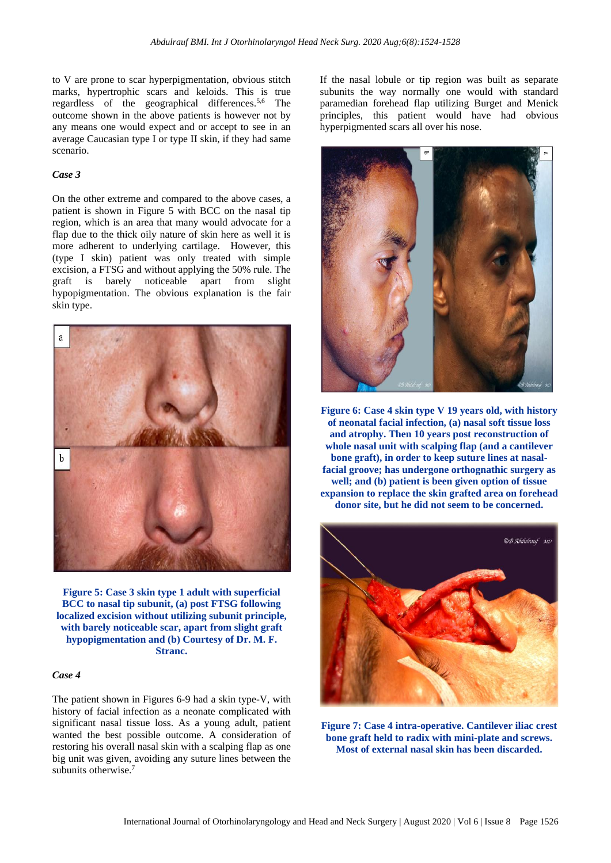to V are prone to scar hyperpigmentation, obvious stitch marks, hypertrophic scars and keloids. This is true regardless of the geographical differences.5,6 The outcome shown in the above patients is however not by any means one would expect and or accept to see in an average Caucasian type I or type II skin, if they had same scenario.

#### *Case 3*

On the other extreme and compared to the above cases, a patient is shown in Figure 5 with BCC on the nasal tip region, which is an area that many would advocate for a flap due to the thick oily nature of skin here as well it is more adherent to underlying cartilage. However, this (type I skin) patient was only treated with simple excision, a FTSG and without applying the 50% rule. The graft is barely noticeable apart from slight hypopigmentation. The obvious explanation is the fair skin type.



**Figure 5: Case 3 skin type 1 adult with superficial BCC to nasal tip subunit, (a) post FTSG following localized excision without utilizing subunit principle, with barely noticeable scar, apart from slight graft hypopigmentation and (b) Courtesy of Dr. M. F. Stranc.** 

# *Case 4*

The patient shown in Figures 6-9 had a skin type-V, with history of facial infection as a neonate complicated with significant nasal tissue loss. As a young adult, patient wanted the best possible outcome. A consideration of restoring his overall nasal skin with a scalping flap as one big unit was given, avoiding any suture lines between the subunits otherwise.<sup>7</sup>

If the nasal lobule or tip region was built as separate subunits the way normally one would with standard paramedian forehead flap utilizing Burget and Menick principles, this patient would have had obvious hyperpigmented scars all over his nose.



**Figure 6: Case 4 skin type V 19 years old, with history of neonatal facial infection, (a) nasal soft tissue loss and atrophy. Then 10 years post reconstruction of whole nasal unit with scalping flap (and a cantilever bone graft), in order to keep suture lines at nasalfacial groove; has undergone orthognathic surgery as well; and (b) patient is been given option of tissue expansion to replace the skin grafted area on forehead donor site, but he did not seem to be concerned.**



**Figure 7: Case 4 intra-operative. Cantilever iliac crest bone graft held to radix with mini-plate and screws. Most of external nasal skin has been discarded.**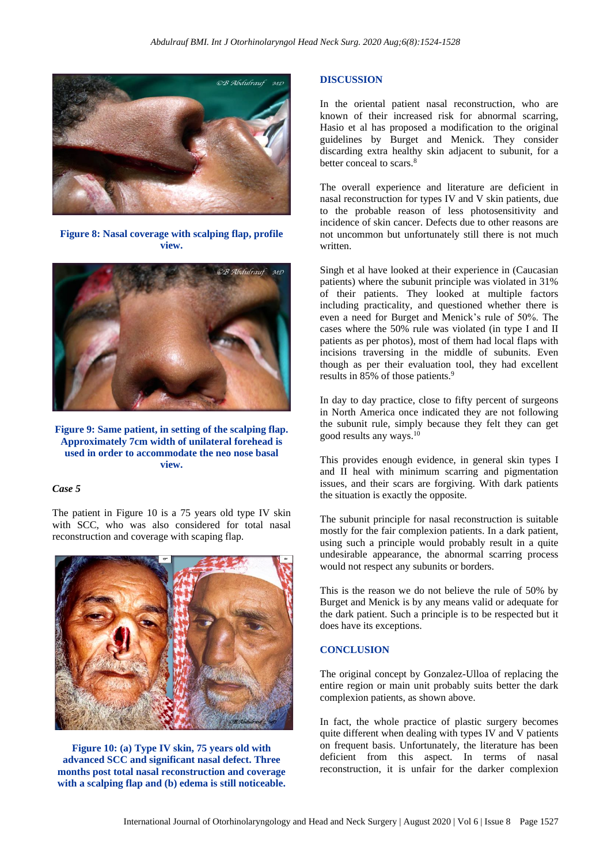

**Figure 8: Nasal coverage with scalping flap, profile view.**



**Figure 9: Same patient, in setting of the scalping flap. Approximately 7cm width of unilateral forehead is used in order to accommodate the neo nose basal view.**

### *Case 5*

The patient in Figure 10 is a 75 years old type IV skin with SCC, who was also considered for total nasal reconstruction and coverage with scaping flap.



**Figure 10: (a) Type IV skin, 75 years old with advanced SCC and significant nasal defect. Three months post total nasal reconstruction and coverage with a scalping flap and (b) edema is still noticeable.**

#### **DISCUSSION**

In the oriental patient nasal reconstruction, who are known of their increased risk for abnormal scarring, Hasio et al has proposed a modification to the original guidelines by Burget and Menick. They consider discarding extra healthy skin adjacent to subunit, for a better conceal to scars.<sup>8</sup>

The overall experience and literature are deficient in nasal reconstruction for types IV and V skin patients, due to the probable reason of less photosensitivity and incidence of skin cancer. Defects due to other reasons are not uncommon but unfortunately still there is not much written.

Singh et al have looked at their experience in (Caucasian patients) where the subunit principle was violated in 31% of their patients. They looked at multiple factors including practicality, and questioned whether there is even a need for Burget and Menick's rule of 50%. The cases where the 50% rule was violated (in type I and II patients as per photos), most of them had local flaps with incisions traversing in the middle of subunits. Even though as per their evaluation tool, they had excellent results in 85% of those patients.<sup>9</sup>

In day to day practice, close to fifty percent of surgeons in North America once indicated they are not following the subunit rule, simply because they felt they can get good results any ways.<sup>10</sup>

This provides enough evidence, in general skin types I and II heal with minimum scarring and pigmentation issues, and their scars are forgiving. With dark patients the situation is exactly the opposite.

The subunit principle for nasal reconstruction is suitable mostly for the fair complexion patients. In a dark patient, using such a principle would probably result in a quite undesirable appearance, the abnormal scarring process would not respect any subunits or borders.

This is the reason we do not believe the rule of 50% by Burget and Menick is by any means valid or adequate for the dark patient. Such a principle is to be respected but it does have its exceptions.

#### **CONCLUSION**

The original concept by Gonzalez-Ulloa of replacing the entire region or main unit probably suits better the dark complexion patients, as shown above.

In fact, the whole practice of plastic surgery becomes quite different when dealing with types IV and V patients on frequent basis. Unfortunately, the literature has been deficient from this aspect. In terms of nasal reconstruction, it is unfair for the darker complexion